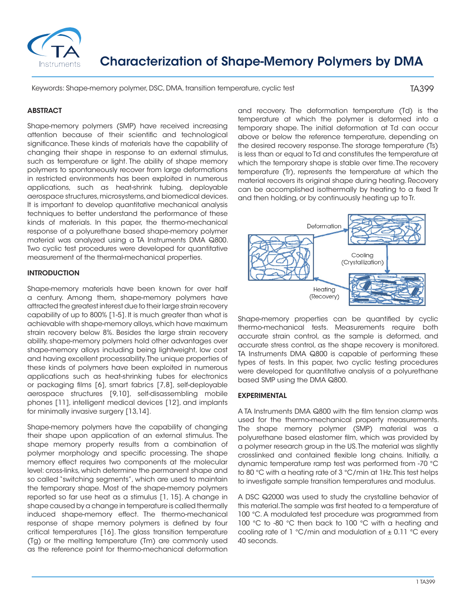

# Characterization of Shape-Memory Polymers by DMA

Keywords: Shape-memory polymer, DSC, DMA, transition temperature, cyclic test

TA399

## **ABSTRACT**

Shape-memory polymers (SMP) have received increasing attention because of their scientific and technological significance. These kinds of materials have the capability of changing their shape in response to an external stimulus, such as temperature or light. The ability of shape memory polymers to spontaneously recover from large deformations in restricted environments has been exploited in numerous applications, such as heat-shrink tubing, deployable aerospace structures, microsystems, and biomedical devices. It is important to develop quantitative mechanical analysis techniques to better understand the performance of these kinds of materials. In this paper, the thermo-mechanical response of a polyurethane based shape-memory polymer material was analyzed using a TA Instruments DMA Q800. Two cyclic test procedures were developed for quantitative measurement of the thermal-mechanical properties.

#### INTRODUCTION

Shape-memory materials have been known for over half a century. Among them, shape-memory polymers have attracted the greatest interest due to their large strain recovery capability of up to 800% [1-5]. It is much greater than what is achievable with shape-memory alloys, which have maximum strain recovery below 8%. Besides the large strain recovery ability, shape-memory polymers hold other advantages over shape-memory alloys including being lightweight, low cost and having excellent processability. The unique properties of these kinds of polymers have been exploited in numerous applications such as heat-shrinking tubes for electronics or packaging films [6], smart fabrics [7,8], self-deployable aerospace structures [9,10], self-disassembling mobile phones [11], intelligent medical devices [12], and implants for minimally invasive surgery [13,14].

Shape-memory polymers have the capability of changing their shape upon application of an external stimulus. The shape memory property results from a combination of polymer morphology and specific processing. The shape memory effect requires two components at the molecular level: cross-links, which determine the permanent shape and so called "switching segments", which are used to maintain the temporary shape. Most of the shape-memory polymers reported so far use heat as a stimulus [1, 15]. A change in shape caused by a change in temperature is called thermally induced shape-memory effect. The thermo-mechanical response of shape memory polymers is defined by four critical temperatures [16]. The glass transition temperature (Tg) or the melting temperature (Tm) are commonly used as the reference point for thermo-mechanical deformation

and recovery. The deformation temperature (Td) is the temperature at which the polymer is deformed into a temporary shape. The initial deformation at Td can occur above or below the reference temperature, depending on the desired recovery response. The storage temperature (Ts) is less than or equal to Td and constitutes the temperature at which the temporary shape is stable over time. The recovery temperature (Tr), represents the temperature at which the material recovers its original shape during heating. Recovery can be accomplished isothermally by heating to a fixed Tr and then holding, or by continuously heating up to Tr.



Shape-memory properties can be quantified by cyclic thermo-mechanical tests. Measurements require both accurate strain control, as the sample is deformed, and accurate stress control, as the shape recovery is monitored. TA Instruments DMA Q800 is capable of performing these types of tests. In this paper, two cyclic testing procedures were developed for quantitative analysis of a polyurethane based SMP using the DMA Q800.

## EXPERIMENTAL

A TA Instruments DMA Q800 with the film tension clamp was used for the thermo-mechanical property measurements. The shape memory polymer (SMP) material was a polyurethane based elastomer film, which was provided by a polymer research group in the US. The material was slightly crosslinked and contained flexible long chains. Initially, a dynamic temperature ramp test was performed from -70 °C to 80 °C with a heating rate of 3 °C/min at 1Hz. This test helps to investigate sample transition temperatures and modulus.

A DSC Q2000 was used to study the crystalline behavior of this material. The sample was first heated to a temperature of 100 °C. A modulated test procedure was programmed from 100 °C to -80 °C then back to 100 °C with a heating and cooling rate of 1 °C/min and modulation of  $\pm$  0.11 °C every 40 seconds.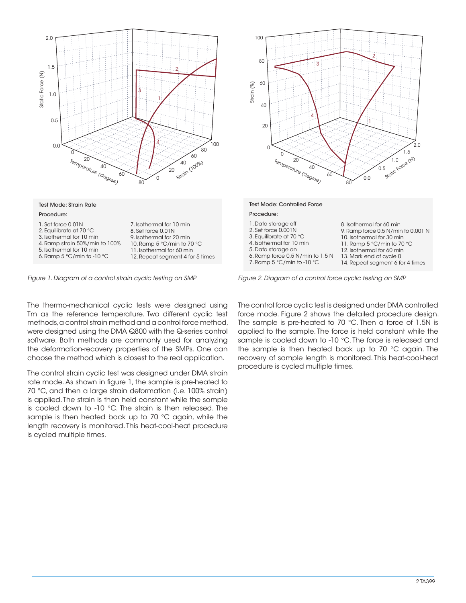

The thermo-mechanical cyclic tests were designed using Tm as the reference temperature. Two different cyclic test methods, a control strain method and a control force method, were designed using the DMA Q800 with the Q-series control software. Both methods are commonly used for analyzing the deformation-recovery properties of the SMPs. One can choose the method which is closest to the real application.

The control strain cyclic test was designed under DMA strain rate mode. As shown in figure 1, the sample is pre-heated to 70 °C, and then a large strain deformation (i.e. 100% strain) is applied. The strain is then held constant while the sample is cooled down to -10 °C. The strain is then released. The sample is then heated back up to 70 °C again, while the length recovery is monitored. This heat-cool-heat procedure is cycled multiple times.



*Figure 1. Diagram of a control strain cyclic testing on SMP Figure 2. Diagram of a control force cyclic testing on SMP*

The control force cyclic test is designed under DMA controlled force mode. Figure 2 shows the detailed procedure design. The sample is pre-heated to 70 °C. Then a force of 1.5N is applied to the sample. The force is held constant while the sample is cooled down to -10 °C. The force is released and the sample is then heated back up to 70 °C again. The recovery of sample length is monitored. This heat-cool-heat procedure is cycled multiple times.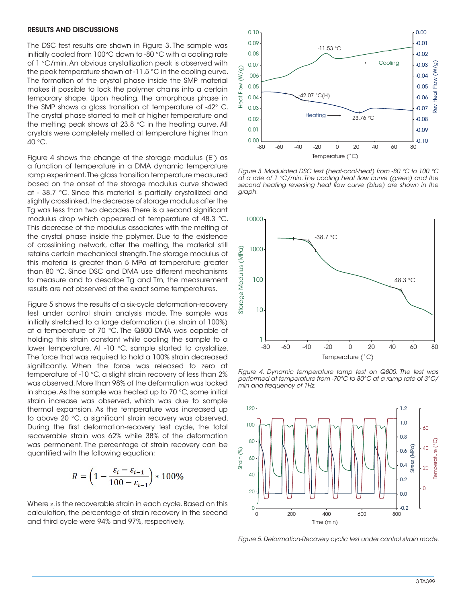#### RESULTS AND DISCUSSIONS

The DSC test results are shown in Figure 3. The sample was initially cooled from 100°C down to -80 °C with a cooling rate of 1 °C/min. An obvious crystallization peak is observed with the peak temperature shown at -11.5 °C in the cooling curve. The formation of the crystal phase inside the SMP material makes it possible to lock the polymer chains into a certain temporary shape. Upon heating, the amorphous phase in the SMP shows a glass transition at temperature of -42° C. The crystal phase started to melt at higher temperature and the melting peak shows at 23.8 °C in the heating curve. All crystals were completely melted at temperature higher than 40 °C.

Figure 4 shows the change of the storage modulus (E') as a function of temperature in a DMA dynamic temperature ramp experiment. The glass transition temperature measured based on the onset of the storage modulus curve showed at - 38.7 °C. Since this material is partially crystallized and slightly crosslinked, the decrease of storage modulus after the Tg was less than two decades. There is a second significant modulus drop which appeared at temperature of 48.3 °C. This decrease of the modulus associates with the melting of the crystal phase inside the polymer. Due to the existence of crosslinking network, after the melting, the material still retains certain mechanical strength. The storage modulus of this material is greater than 5 MPa at temperature greater than 80 °C. Since DSC and DMA use different mechanisms to measure and to describe Tg and Tm, the measurement results are not observed at the exact same temperatures.

Figure 5 shows the results of a six-cycle deformation-recovery test under control strain analysis mode. The sample was initially stretched to a large deformation (i.e. strain of 100%) at a temperature of 70 °C. The Q800 DMA was capable of holding this strain constant while cooling the sample to a lower temperature. At -10 °C, sample started to crystallize. The force that was required to hold a 100% strain decreased significantly. When the force was released to zero at temperature of -10 °C, a slight strain recovery of less than 2% was observed. More than 98% of the deformation was locked in shape. As the sample was heated up to 70 °C, some initial strain increase was observed, which was due to sample thermal expansion. As the temperature was increased up to above 20 °C, a significant strain recovery was observed. During the first deformation-recovery test cycle, the total recoverable strain was 62% while 38% of the deformation was permanent. The percentage of strain recovery can be quantified with the following equation:

$$
R = \left(1 - \frac{\varepsilon_i - \varepsilon_{i-1}}{100 - \varepsilon_{i-1}}\right) * 100\%
$$

Where ε*<sup>i</sup>* is the recoverable strain in each cycle. Based on this calculation, the percentage of strain recovery in the second and third cycle were 94% and 97%, respectively.



*Figure 3. Modulated DSC test (heat-cool-heat) from -80 °C to 100 °C at a rate of 1 °C/min. The cooling heat flow curve (green) and the second heating reversing heat flow curve (blue) are shown in the graph.*



*Figure 4. Dynamic temperature tamp test on Q800. The test was performed at temperature from -70°C to 80°C at a ramp rate of 3°C/ min and frequency of 1Hz.*



*Figure 5. Deformation-Recovery cyclic test under control strain mode.*